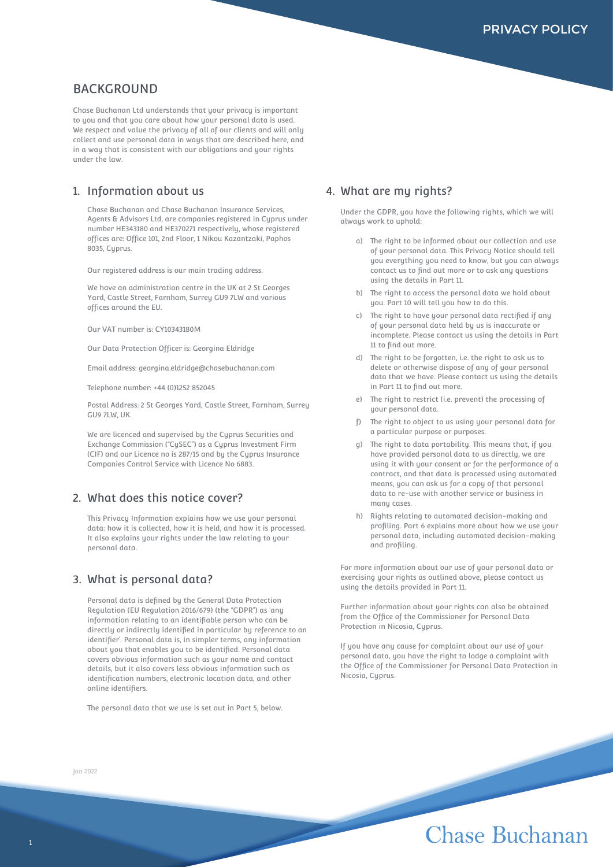# **BACKGROUND**

Chase Buchanan Ltd understands that your privacy is important to you and that you care about how your personal data is used. We respect and value the privacy of all of our clients and will only collect and use personal data in ways that are described here, and in a way that is consistent with our obligations and your rights under the law.

### 1. Information about us

Chase Buchanan and Chase Buchanan Insurance Services, Agents & Advisors Ltd, are companies registered in Cyprus under number HE343180 and HE370271 respectively, whose registered offices are: Office 101, 2nd Floor, 1 Nikou Kazantzaki, Paphos 8035, Cuprus.

Our registered address is our main trading address.

We have an administration centre in the UK at 2 St Georges Yard, Castle Street, Farnham, Surrey GU9 7LW and various offices around the EU.

Our VAT number is: CY10343180M

Our Data Protection Officer is: Georgina Eldridge

Email address: georgina.eldridge@chasebuchanan.com

Telephone number: +44 (0)1252 852045

Postal Address: 2 St Georges Yard, Castle Street, Farnham, Surrey GU9 7LW, UK.

We are licenced and supervised by the Cyprus Securities and Exchange Commission ("CySEC") as a Cyprus Investment Firm (CIF) and our Licence no is 287/15 and by the Cyprus Insurance Companies Control Service with Licence No 6883.

### 2. What does this notice cover?

This Privacu Information explains how we use your personal data: how it is collected, how it is held, and how it is processed. It also explains your rights under the law relating to your personal data.

#### 3. What is personal data?

Personal data is defined by the General Data Protection Regulation (EU Regulation 2016/679) (the "GDPR") as 'any information relating to an identifiable person who can be directly or indirectly identified in particular by reference to an identifier'. Personal data is, in simpler terms, any information about you that enables you to be identified. Personal data covers obvious information such as your name and contact details, but it also covers less obvious information such as identification numbers, electronic location data, and other online identifiers.

The personal data that we use is set out in Part 5, below.

#### 4. What are my rights?

Under the GDPR, you have the following rights, which we will always work to uphold:

- a) The right to be informed about our collection and use of your personal data. This Privacy Notice should tell you everything you need to know, but you can always contact us to find out more or to ask any questions using the details in Part 11.
- b) The right to access the personal data we hold about you. Part 10 will tell you how to do this.
- c) The right to have your personal data rectified if any of your personal data held by us is inaccurate or incomplete. Please contact us using the details in Part 11 to find out more.
- d) The right to be forgotten, i.e. the right to ask us to delete or otherwise dispose of any of your personal data that we have. Please contact us using the details in Part 11 to find out more.
- e) The right to restrict (i.e. prevent) the processing of your personal data.
- The right to object to us using your personal data for a particular purpose or purposes.
- g) The right to data portability. This means that, if you have provided personal data to us directly, we are using it with your consent or for the performance of a contract, and that data is processed using automated means, you can ask us for a copy of that personal data to re-use with another service or business in many cases.
- h) Rights relating to automated decision-making and profiling. Part 6 explains more about how we use your personal data, including automated decision-making and profiling.

For more information about our use of your personal data or exercising your rights as outlined above, please contact us using the details provided in Part 11.

Further information about your rights can also be obtained from the Office of the Commissioner for Personal Data Protection in Nicosia, Cyprus.

If you have any cause for complaint about our use of your personal data, you have the right to lodge a complaint with the Office of the Commissioner for Personal Data Protection in Nicosia, Cyprus.

Jan 2022

# Chase Buchanan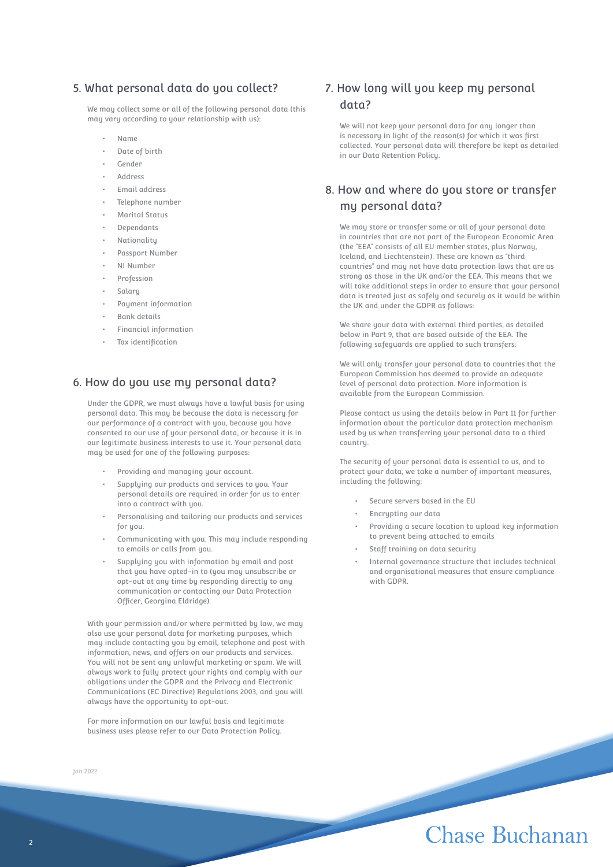## 5. What personal data do you collect?

We may collect some or all of the following personal data (this may vary according to your relationship with us):

- Name
- Date of birth
- Gender
- Address
- Email address
- Telephone number
- Marital Status
- Dependants
- **Nationality**
- Passport Number
- NI Number
- Profession
- Salary
- Payment information
- Bank details
- Financial information
- Tax identification

## 6. How do you use my personal data?

Under the GDPR, we must always have a lawful basis for using personal data. This may be because the data is necessary for our performance of a contract with you, because you have consented to our use of your personal data, or because it is in our legitimate business interests to use it. Your personal data may be used for one of the following purposes:

- Providing and managing your account.
- Supplying our products and services to you. Your personal details are required in order for us to enter into a contract with you.
- Personalising and tailoring our products and services for you.
- Communicating with you. This may include responding to emails or calls from you.
- Supplying you with information by email and post that you have opted-in to (you may unsubscribe or opt-out at any time by responding directly to any communication or contacting our Data Protection Officer, Georgina Eldridge).

With your permission and/or where permitted by law, we may also use your personal data for marketing purposes, which may include contacting you by email, telephone and post with information, news, and offers on our products and services. You will not be sent any unlawful marketing or spam. We will always work to fully protect your rights and comply with our obligations under the GDPR and the Privacy and Electronic Communications (EC Directive) Regulations 2003, and you will always have the opportunity to opt-out.

For more information on our lawful basis and legitimate business uses please refer to our Data Protection Policy.

Jan 2022

# 7. How long will you keep my personal data?

We will not keep your personal data for any longer than is necessary in light of the reason(s) for which it was first collected. Your personal data will therefore be kept as detailed in our Data Retention Policy.

# 8. How and where do you store or transfer my personal data?

We may store or transfer some or all of your personal data in countries that are not part of the European Economic Area (the "EEA" consists of all EU member states, plus Norway, Iceland, and Liechtenstein). These are known as "third countries" and may not have data protection laws that are as strong as those in the UK and/or the EEA. This means that we will take additional steps in order to ensure that your personal data is treated just as safely and securely as it would be within the UK and under the GDPR as follows:

We share your data with external third parties, as detailed below in Part 9, that are based outside of the EEA. The following safeguards are applied to such transfers:

We will only transfer your personal data to countries that the European Commission has deemed to provide an adequate level of personal data protection. More information is available from the European Commission.

Please contact us using the details below in Part 11 for further information about the particular data protection mechanism used by us when transferring your personal data to a third country.

The security of your personal data is essential to us, and to protect your data, we take a number of important measures, including the following:

- Secure servers based in the EU
- Encrypting our data
- Providing a secure location to upload key information to prevent being attached to emails
- Staff training on data security
- Internal governance structure that includes technical and organisational measures that ensure compliance with GDPR.

# Chase Buchanan